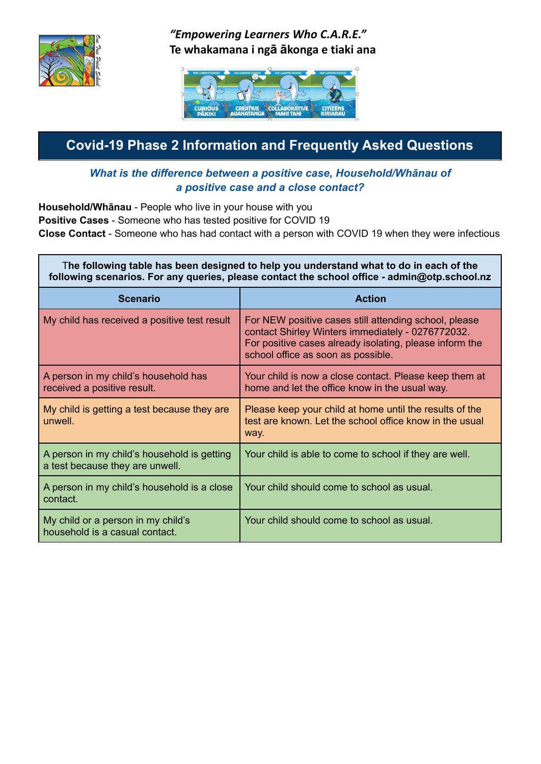

## *"Empowering Learners Who C.A.R.E."* **Te whakamana i ngā ākonga e tiaki ana**



## **Covid-19 Phase 2 Information and Frequently Asked Questions**

#### *What is the difference between a positive case, Household/Whānau of a positive case and a close contact?*

**Household/Whānau** - People who live in your house with you **Positive Cases** - Someone who has tested positive for COVID 19 **Close Contact** - Someone who has had contact with a person with COVID 19 when they were infectious

| The following table has been designed to help you understand what to do in each of the<br>following scenarios. For any queries, please contact the school office - admin@otp.school.nz |                                                                                                                                                                                                             |
|----------------------------------------------------------------------------------------------------------------------------------------------------------------------------------------|-------------------------------------------------------------------------------------------------------------------------------------------------------------------------------------------------------------|
| <b>Scenario</b>                                                                                                                                                                        | <b>Action</b>                                                                                                                                                                                               |
| My child has received a positive test result                                                                                                                                           | For NEW positive cases still attending school, please<br>contact Shirley Winters immediately - 0276772032.<br>For positive cases already isolating, please inform the<br>school office as soon as possible. |
| A person in my child's household has<br>received a positive result.                                                                                                                    | Your child is now a close contact. Please keep them at<br>home and let the office know in the usual way.                                                                                                    |
| My child is getting a test because they are<br>unwell.                                                                                                                                 | Please keep your child at home until the results of the<br>test are known. Let the school office know in the usual<br>way.                                                                                  |
| A person in my child's household is getting<br>a test because they are unwell.                                                                                                         | Your child is able to come to school if they are well.                                                                                                                                                      |
| A person in my child's household is a close<br>contact.                                                                                                                                | Your child should come to school as usual.                                                                                                                                                                  |
| My child or a person in my child's<br>household is a casual contact.                                                                                                                   | Your child should come to school as usual.                                                                                                                                                                  |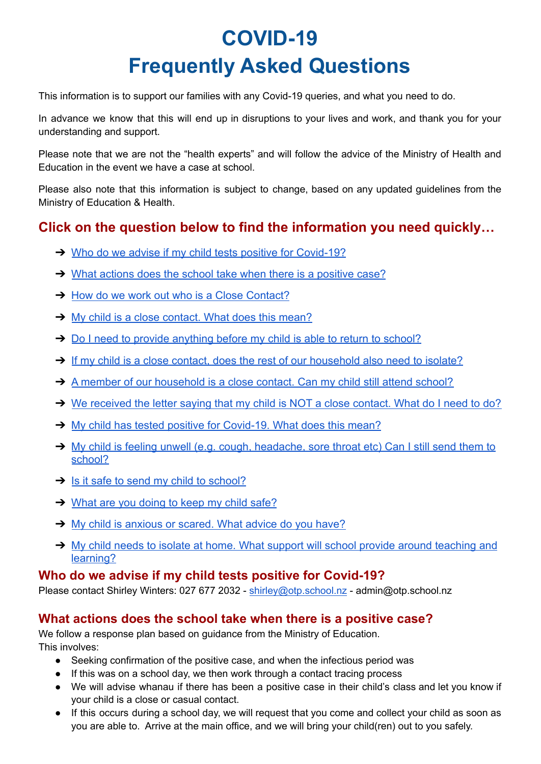# **COVID-19 Frequently Asked Questions**

This information is to support our families with any Covid-19 queries, and what you need to do.

In advance we know that this will end up in disruptions to your lives and work, and thank you for your understanding and support.

Please note that we are not the "health experts" and will follow the advice of the Ministry of Health and Education in the event we have a case at school.

Please also note that this information is subject to change, based on any updated guidelines from the Ministry of Education & Health.

## **Click on the question below to find the information you need quickly…**

- **→ [Who do we advise if my child tests positive for Covid-19?](#page-1-0)**
- **→** [What actions does the school take when there is a positive case?](#page-1-1)
- **→ [How do we work out who is a Close Contact?](#page-2-0)**
- → [My child is a close contact. What does this mean?](#page-2-1)
- → [Do I need to provide anything before my child is able to return to school?](#page-2-2)
- → [If my child is a close contact, does the rest of our household also need to isolate?](#page-2-3)
- → [A member of our household is a close contact. Can my child still attend school?](#page-2-4)
- ➔ [We received the letter saying that my child is NOT a close contact. What do I need to do?](#page-2-5)
- → [My child has tested positive for Covid-19. What does this mean?](#page-2-6)
- → [My child is feeling unwell \(e.g. cough, headache, sore throat etc\) Can I still send them to](#page-2-7) [school?](#page-2-7)
- $\rightarrow$  [Is it safe to send my child to school?](#page-3-0)
- **→ [What are you doing to keep my child safe?](#page-3-1)**
- → [My child is anxious or scared. What advice do you have?](#page-3-2)
- → [My child needs to isolate at home. What support will school provide around teaching and](#page-3-3) [learning?](#page-3-3)

#### <span id="page-1-0"></span>**Who do we advise if my child tests positive for Covid-19?**

Please contact Shirley Winters: 027 677 2032 - [shirley@otp.school.nz](mailto:shirley@otp.school.nz) - admin@otp.school.nz

#### <span id="page-1-1"></span>**What actions does the school take when there is a positive case?**

We follow a response plan based on guidance from the Ministry of Education. This involves:

- Seeking confirmation of the positive case, and when the infectious period was
- If this was on a school day, we then work through a contact tracing process
- We will advise whanau if there has been a positive case in their child's class and let you know if your child is a close or casual contact.
- If this occurs during a school day, we will request that you come and collect your child as soon as you are able to. Arrive at the main office, and we will bring your child(ren) out to you safely.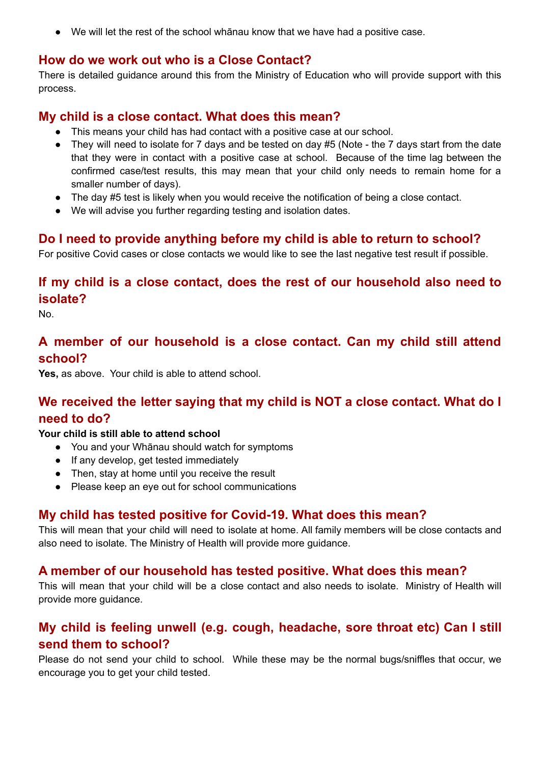● We will let the rest of the school whānau know that we have had a positive case.

#### <span id="page-2-0"></span>**How do we work out who is a Close Contact?**

There is detailed guidance around this from the Ministry of Education who will provide support with this process.

#### <span id="page-2-1"></span>**My child is a close contact. What does this mean?**

- This means your child has had contact with a positive case at our school.
- They will need to isolate for 7 days and be tested on day #5 (Note the 7 days start from the date that they were in contact with a positive case at school. Because of the time lag between the confirmed case/test results, this may mean that your child only needs to remain home for a smaller number of days).
- The day #5 test is likely when you would receive the notification of being a close contact.
- We will advise you further regarding testing and isolation dates.

#### <span id="page-2-2"></span>**Do I need to provide anything before my child is able to return to school?**

For positive Covid cases or close contacts we would like to see the last negative test result if possible.

## <span id="page-2-3"></span>**If my child is a close contact, does the rest of our household also need to isolate?**

No.

#### <span id="page-2-4"></span>**A member of our household is a close contact. Can my child still attend school?**

**Yes,** as above. Your child is able to attend school.

## <span id="page-2-5"></span>**We received the letter saying that my child is NOT a close contact. What do I need to do?**

#### **Your child is still able to attend school**

- You and your Whānau should watch for symptoms
- If any develop, get tested immediately
- Then, stay at home until you receive the result
- Please keep an eye out for school communications

#### <span id="page-2-6"></span>**My child has tested positive for Covid-19. What does this mean?**

This will mean that your child will need to isolate at home. All family members will be close contacts and also need to isolate. The Ministry of Health will provide more guidance.

#### **A member of our household has tested positive. What does this mean?**

This will mean that your child will be a close contact and also needs to isolate. Ministry of Health will provide more guidance.

## <span id="page-2-7"></span>**My child is feeling unwell (e.g. cough, headache, sore throat etc) Can I still send them to school?**

Please do not send your child to school. While these may be the normal bugs/sniffles that occur, we encourage you to get your child tested.